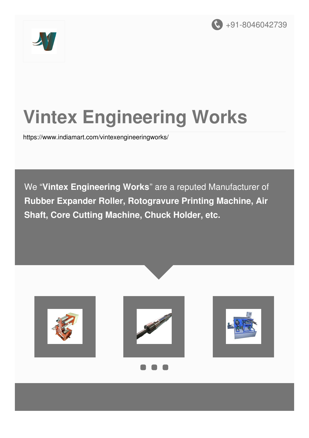



# **Vintex Engineering Works**

<https://www.indiamart.com/vintexengineeringworks/>

We "**Vintex Engineering Works**" are a reputed Manufacturer of **Rubber Expander Roller, Rotogravure Printing Machine, Air Shaft, Core Cutting Machine, Chuck Holder, etc.**

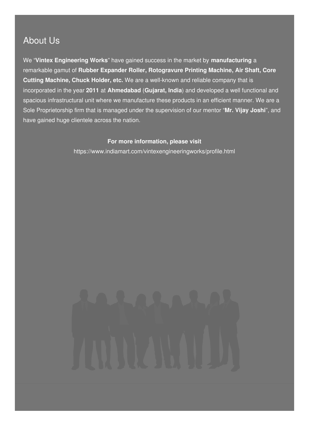#### About Us

We "**Vintex Engineering Works**" have gained success in the market by **manufacturing** a remarkable gamut of **Rubber Expander Roller, Rotogravure Printing Machine, Air Shaft, Core Cutting Machine, Chuck Holder, etc.** We are a well-known and reliable company that is incorporated in the year **2011** at **Ahmedabad** (**Gujarat, India**) and developed a well functional and spacious infrastructural unit where we manufacture these products in an efficient manner. We are a Sole Proprietorship firm that is managed under the supervision of our mentor "**Mr. Vijay Joshi**", and have gained huge clientele across the nation.

#### **For more information, please visit**

<https://www.indiamart.com/vintexengineeringworks/profile.html>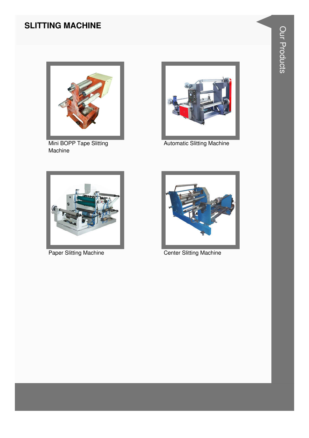#### **SLITTING MACHINE**



Mini BOPP Tape Slitting Machine



Automatic Slitting Machine





Paper Slitting Machine **Center Slitting Machine**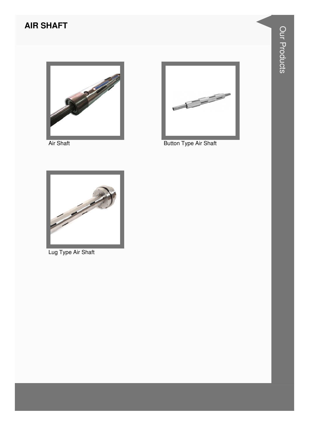#### **AIR SHAFT**



**Air Shaft** 



Button Type Air Shaft



Lug Type Air Shaft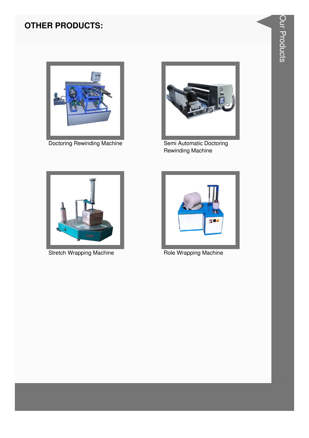#### **OTHER PRODUCTS:**



**Doctoring Rewinding Machine** 



Semi Automatic Doctoring Rewinding Machine



**Stretch Wrapping Machine** 



Role Wrapping Machine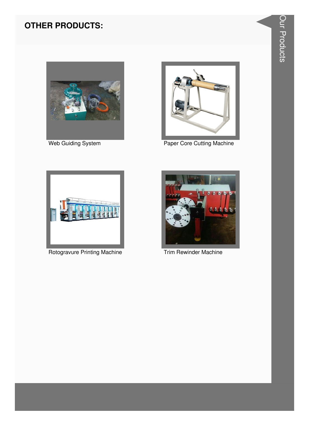#### **OTHER PRODUCTS:**



Web Guiding System



Paper Core Cutting Machine



Rotogravure Printing Machine



Trim Rewinder Machine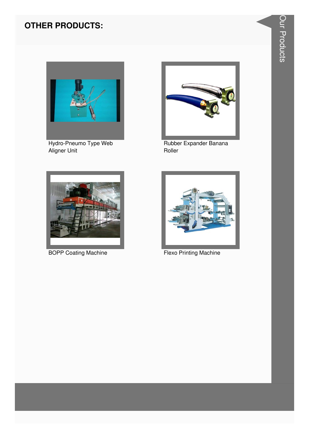### **OTHER PRODUCTS:**



Hydro-Pneumo Type Web<br>Aligner Unit



Rubber Expander Banana Roller



**BOPP Coating Machine** 



**Flexo Printing Machine**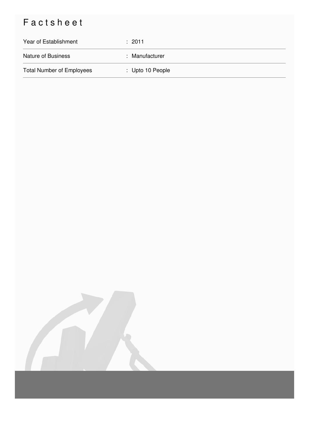## Factsheet

| Year of Establishment            | : 2011           |
|----------------------------------|------------------|
| <b>Nature of Business</b>        | : Manufacturer   |
| <b>Total Number of Employees</b> | : Upto 10 People |